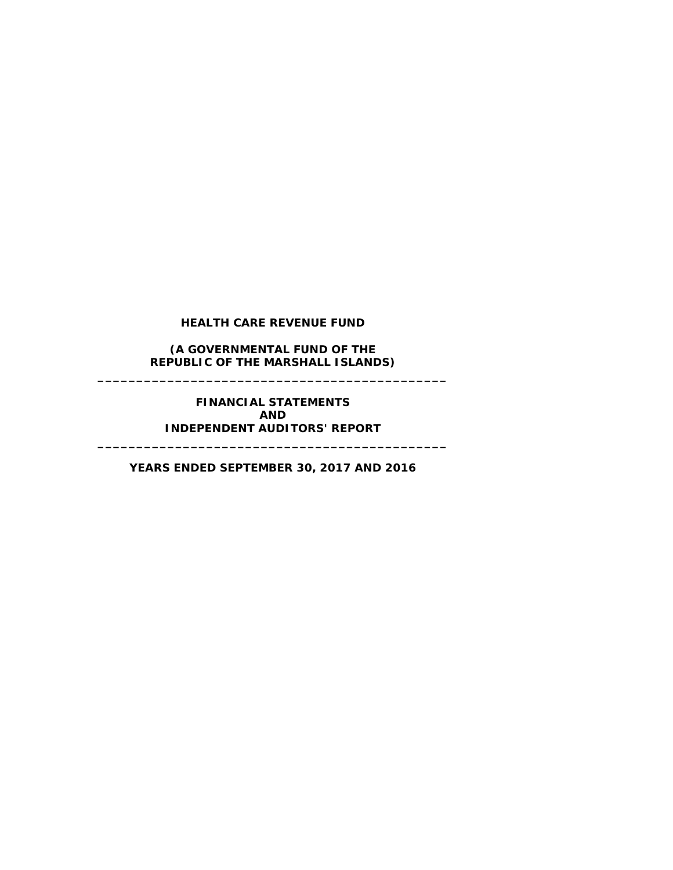**(A GOVERNMENTAL FUND OF THE REPUBLIC OF THE MARSHALL ISLANDS) \_\_\_\_\_\_\_\_\_\_\_\_\_\_\_\_\_\_\_\_\_\_\_\_\_\_\_\_\_\_\_\_\_\_\_\_\_\_\_\_\_\_\_\_\_**

> **FINANCIAL STATEMENTS AND INDEPENDENT AUDITORS' REPORT**

**\_\_\_\_\_\_\_\_\_\_\_\_\_\_\_\_\_\_\_\_\_\_\_\_\_\_\_\_\_\_\_\_\_\_\_\_\_\_\_\_\_\_\_\_\_**

**YEARS ENDED SEPTEMBER 30, 2017 AND 2016**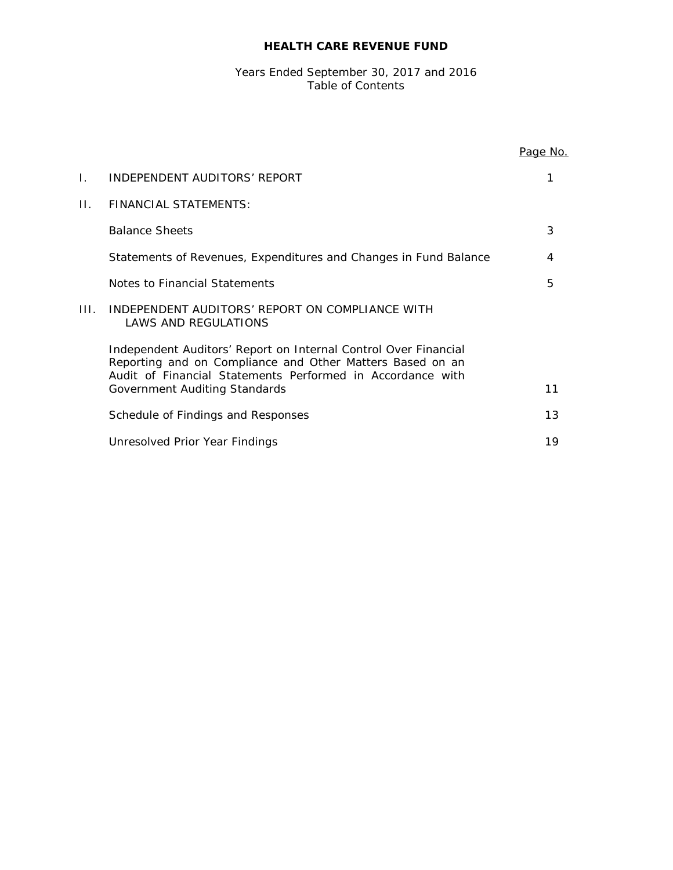#### Years Ended September 30, 2017 and 2016 Table of Contents

|      |                                                                                                                                                                                                                             | Page No. |
|------|-----------------------------------------------------------------------------------------------------------------------------------------------------------------------------------------------------------------------------|----------|
| L.   | INDEPENDENT AUDITORS' REPORT                                                                                                                                                                                                |          |
| П.   | <b>FINANCIAL STATEMENTS:</b>                                                                                                                                                                                                |          |
|      | <b>Balance Sheets</b>                                                                                                                                                                                                       | 3        |
|      | Statements of Revenues, Expenditures and Changes in Fund Balance                                                                                                                                                            | 4        |
|      | Notes to Financial Statements                                                                                                                                                                                               | 5        |
| III. | INDEPENDENT AUDITORS' REPORT ON COMPLIANCE WITH<br><b>LAWS AND REGULATIONS</b>                                                                                                                                              |          |
|      | Independent Auditors' Report on Internal Control Over Financial<br>Reporting and on Compliance and Other Matters Based on an<br>Audit of Financial Statements Performed in Accordance with<br>Government Auditing Standards | 11       |
|      |                                                                                                                                                                                                                             |          |
|      | Schedule of Findings and Responses                                                                                                                                                                                          | 13       |
|      | Unresolved Prior Year Findings                                                                                                                                                                                              | 19       |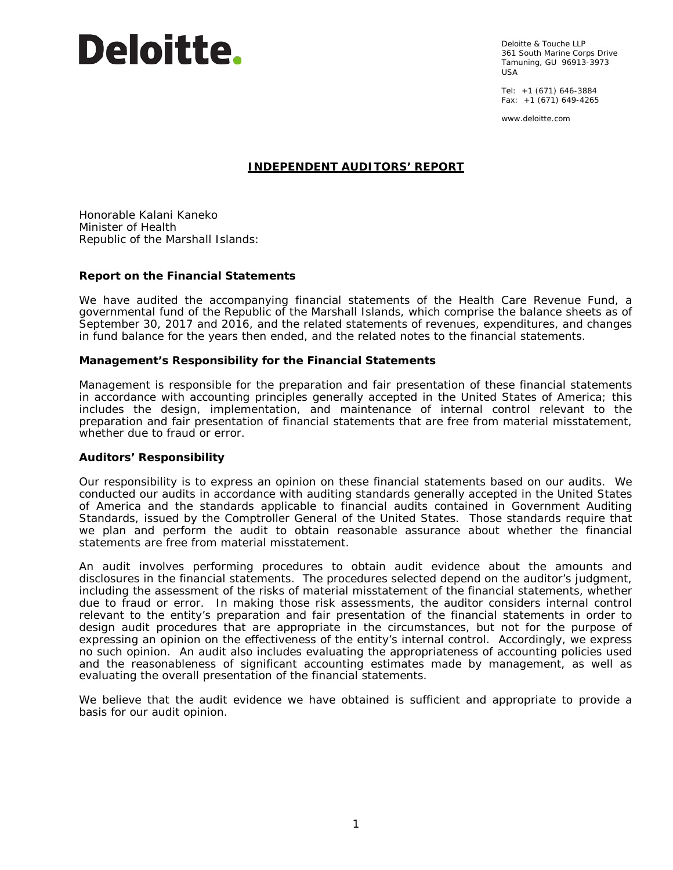

Deloitte & Touche LLP 361 South Marine Corps Drive Tamuning, GU 96913-3973 USA

Tel: +1 (671) 646-3884 Fax: +1 (671) 649-4265

www.deloitte.com

## **INDEPENDENT AUDITORS' REPORT**

Honorable Kalani Kaneko Minister of Health Republic of the Marshall Islands:

#### **Report on the Financial Statements**

We have audited the accompanying financial statements of the Health Care Revenue Fund, a governmental fund of the Republic of the Marshall Islands, which comprise the balance sheets as of September 30, 2017 and 2016, and the related statements of revenues, expenditures, and changes in fund balance for the years then ended, and the related notes to the financial statements.

#### *Management's Responsibility for the Financial Statements*

Management is responsible for the preparation and fair presentation of these financial statements in accordance with accounting principles generally accepted in the United States of America; this includes the design, implementation, and maintenance of internal control relevant to the preparation and fair presentation of financial statements that are free from material misstatement, whether due to fraud or error.

#### *Auditors' Responsibility*

Our responsibility is to express an opinion on these financial statements based on our audits. We conducted our audits in accordance with auditing standards generally accepted in the United States of America and the standards applicable to financial audits contained in *Government Auditing Standards*, issued by the Comptroller General of the United States. Those standards require that we plan and perform the audit to obtain reasonable assurance about whether the financial statements are free from material misstatement.

An audit involves performing procedures to obtain audit evidence about the amounts and disclosures in the financial statements. The procedures selected depend on the auditor's judgment, including the assessment of the risks of material misstatement of the financial statements, whether due to fraud or error. In making those risk assessments, the auditor considers internal control relevant to the entity's preparation and fair presentation of the financial statements in order to design audit procedures that are appropriate in the circumstances, but not for the purpose of expressing an opinion on the effectiveness of the entity's internal control. Accordingly, we express no such opinion. An audit also includes evaluating the appropriateness of accounting policies used and the reasonableness of significant accounting estimates made by management, as well as evaluating the overall presentation of the financial statements.

We believe that the audit evidence we have obtained is sufficient and appropriate to provide a basis for our audit opinion.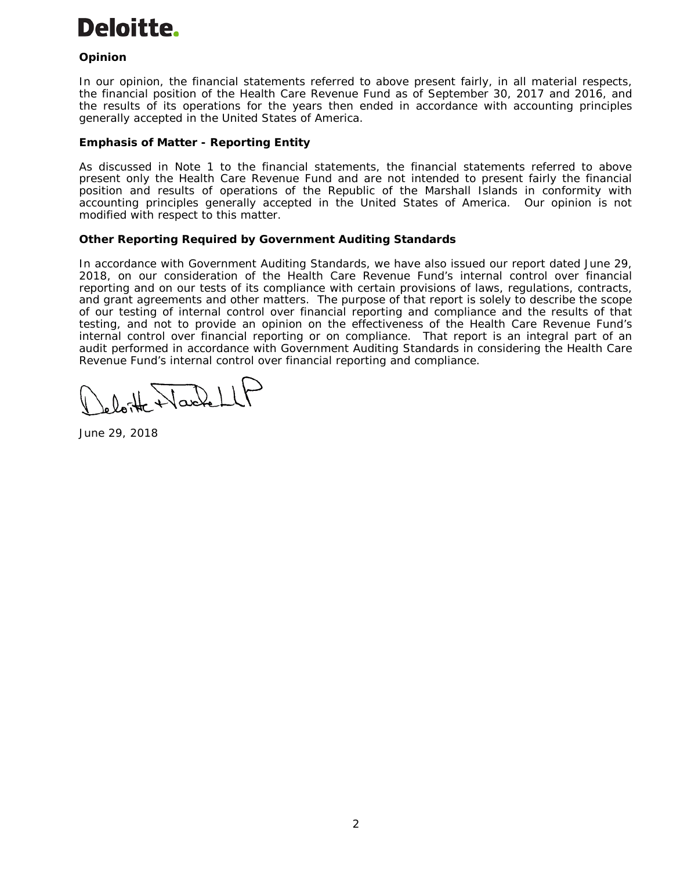# Deloitte.

# *Opinion*

In our opinion, the financial statements referred to above present fairly, in all material respects, the financial position of the Health Care Revenue Fund as of September 30, 2017 and 2016, and the results of its operations for the years then ended in accordance with accounting principles generally accepted in the United States of America.

## *Emphasis of Matter - Reporting Entity*

As discussed in Note 1 to the financial statements, the financial statements referred to above present only the Health Care Revenue Fund and are not intended to present fairly the financial position and results of operations of the Republic of the Marshall Islands in conformity with accounting principles generally accepted in the United States of America. Our opinion is not modified with respect to this matter.

# **Other Reporting Required by** *Government Auditing Standards*

In accordance with *Government Auditing Standards*, we have also issued our report dated June 29, 2018, on our consideration of the Health Care Revenue Fund's internal control over financial reporting and on our tests of its compliance with certain provisions of laws, regulations, contracts, and grant agreements and other matters. The purpose of that report is solely to describe the scope of our testing of internal control over financial reporting and compliance and the results of that testing, and not to provide an opinion on the effectiveness of the Health Care Revenue Fund's internal control over financial reporting or on compliance. That report is an integral part of an audit performed in accordance with *Government Auditing Standards* in considering the Health Care Revenue Fund's internal control over financial reporting and compliance.

Wackell

June 29, 2018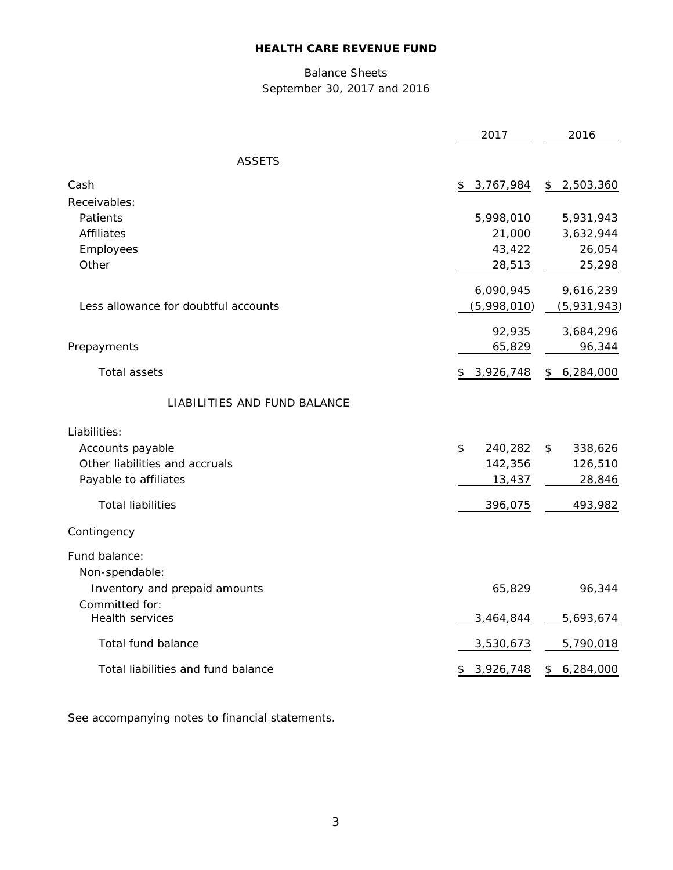# Balance Sheets September 30, 2017 and 2016

|                                          | 2017            | 2016            |
|------------------------------------------|-----------------|-----------------|
| <b>ASSETS</b>                            |                 |                 |
| Cash                                     | 3,767,984<br>\$ | \$<br>2,503,360 |
| Receivables:                             |                 |                 |
| Patients                                 | 5,998,010       | 5,931,943       |
| <b>Affiliates</b>                        | 21,000          | 3,632,944       |
| Employees                                | 43,422          | 26,054          |
| Other                                    | 28,513          | 25,298          |
|                                          | 6,090,945       | 9,616,239       |
| Less allowance for doubtful accounts     | (5,998,010)     | (5,931,943)     |
|                                          | 92,935          | 3,684,296       |
| Prepayments                              | 65,829          | 96,344          |
| <b>Total assets</b>                      | \$3,926,748     | 6,284,000<br>\$ |
| <b>LIABILITIES AND FUND BALANCE</b>      |                 |                 |
| Liabilities:                             |                 |                 |
| Accounts payable                         | 240,282<br>\$   | \$<br>338,626   |
| Other liabilities and accruals           | 142,356         | 126,510         |
| Payable to affiliates                    | 13,437          | 28,846          |
| <b>Total liabilities</b>                 | 396,075         | 493,982         |
| Contingency                              |                 |                 |
| Fund balance:                            |                 |                 |
| Non-spendable:                           |                 |                 |
| Inventory and prepaid amounts            | 65,829          | 96,344          |
| Committed for:<br><b>Health services</b> | 3,464,844       | 5,693,674       |
| Total fund balance                       | 3,530,673       | 5,790,018       |
|                                          |                 |                 |
| Total liabilities and fund balance       | 3,926,748<br>\$ | 6,284,000<br>\$ |

See accompanying notes to financial statements.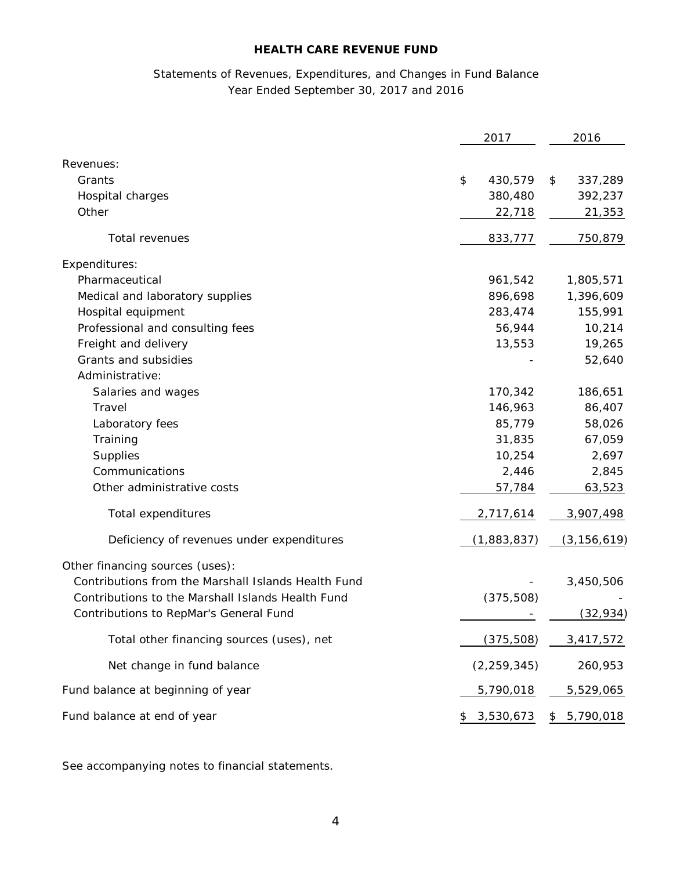# Statements of Revenues, Expenditures, and Changes in Fund Balance Year Ended September 30, 2017 and 2016

|                                                     | 2017            | 2016          |
|-----------------------------------------------------|-----------------|---------------|
| Revenues:                                           |                 |               |
| Grants                                              | \$<br>430,579   | \$<br>337,289 |
| Hospital charges                                    | 380,480         | 392,237       |
| Other                                               | 22,718          | 21,353        |
| Total revenues                                      | 833,777         | 750,879       |
| Expenditures:                                       |                 |               |
| Pharmaceutical                                      | 961,542         | 1,805,571     |
| Medical and laboratory supplies                     | 896,698         | 1,396,609     |
| Hospital equipment                                  | 283,474         | 155,991       |
| Professional and consulting fees                    | 56,944          | 10,214        |
| Freight and delivery                                | 13,553          | 19,265        |
| Grants and subsidies                                |                 | 52,640        |
| Administrative:                                     |                 |               |
| Salaries and wages                                  | 170,342         | 186,651       |
| Travel                                              | 146,963         | 86,407        |
| Laboratory fees                                     | 85,779          | 58,026        |
| Training                                            | 31,835          | 67,059        |
| Supplies                                            | 10,254          | 2,697         |
| Communications                                      | 2,446           | 2,845         |
| Other administrative costs                          | 57,784          | 63,523        |
| Total expenditures                                  | 2,717,614       | 3,907,498     |
| Deficiency of revenues under expenditures           | (1,883,837)     | (3, 156, 619) |
| Other financing sources (uses):                     |                 |               |
| Contributions from the Marshall Islands Health Fund |                 | 3,450,506     |
| Contributions to the Marshall Islands Health Fund   | (375, 508)      |               |
| Contributions to RepMar's General Fund              |                 | (32, 934)     |
| Total other financing sources (uses), net           | (375,508)       | 3,417,572     |
| Net change in fund balance                          | (2, 259, 345)   | 260,953       |
| Fund balance at beginning of year                   | 5,790,018       | 5,529,065     |
| Fund balance at end of year                         | \$<br>3,530,673 | 5,790,018     |

See accompanying notes to financial statements.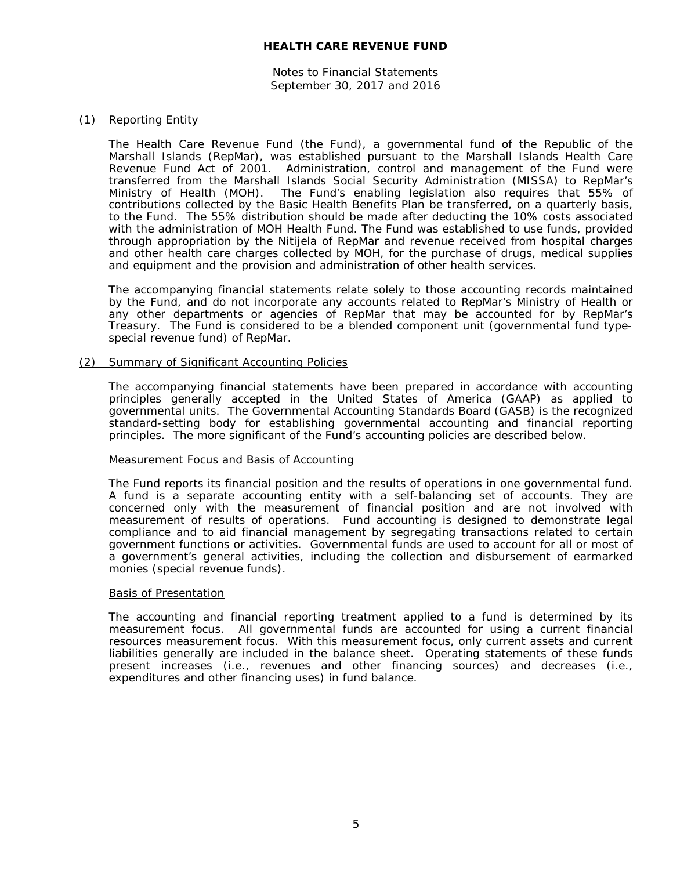Notes to Financial Statements September 30, 2017 and 2016

#### (1) Reporting Entity

The Health Care Revenue Fund (the Fund), a governmental fund of the Republic of the Marshall Islands (RepMar), was established pursuant to the Marshall Islands Health Care Revenue Fund Act of 2001. Administration, control and management of the Fund were transferred from the Marshall Islands Social Security Administration (MISSA) to RepMar's Ministry of Health (MOH). The Fund's enabling legislation also requires that 55% of contributions collected by the Basic Health Benefits Plan be transferred, on a quarterly basis, to the Fund. The 55% distribution should be made after deducting the 10% costs associated with the administration of MOH Health Fund. The Fund was established to use funds, provided through appropriation by the Nitijela of RepMar and revenue received from hospital charges and other health care charges collected by MOH, for the purchase of drugs, medical supplies and equipment and the provision and administration of other health services.

The accompanying financial statements relate solely to those accounting records maintained by the Fund, and do not incorporate any accounts related to RepMar's Ministry of Health or any other departments or agencies of RepMar that may be accounted for by RepMar's Treasury. The Fund is considered to be a blended component unit (governmental fund typespecial revenue fund) of RepMar.

#### (2) Summary of Significant Accounting Policies

The accompanying financial statements have been prepared in accordance with accounting principles generally accepted in the United States of America (GAAP) as applied to governmental units. The Governmental Accounting Standards Board (GASB) is the recognized standard-setting body for establishing governmental accounting and financial reporting principles. The more significant of the Fund's accounting policies are described below.

#### Measurement Focus and Basis of Accounting

The Fund reports its financial position and the results of operations in one governmental fund. A fund is a separate accounting entity with a self-balancing set of accounts. They are concerned only with the measurement of financial position and are not involved with measurement of results of operations. Fund accounting is designed to demonstrate legal compliance and to aid financial management by segregating transactions related to certain government functions or activities. Governmental funds are used to account for all or most of a government's general activities, including the collection and disbursement of earmarked monies (special revenue funds).

#### Basis of Presentation

The accounting and financial reporting treatment applied to a fund is determined by its measurement focus. All governmental funds are accounted for using a current financial resources measurement focus. With this measurement focus, only current assets and current liabilities generally are included in the balance sheet. Operating statements of these funds present increases (i.e., revenues and other financing sources) and decreases (i.e., expenditures and other financing uses) in fund balance.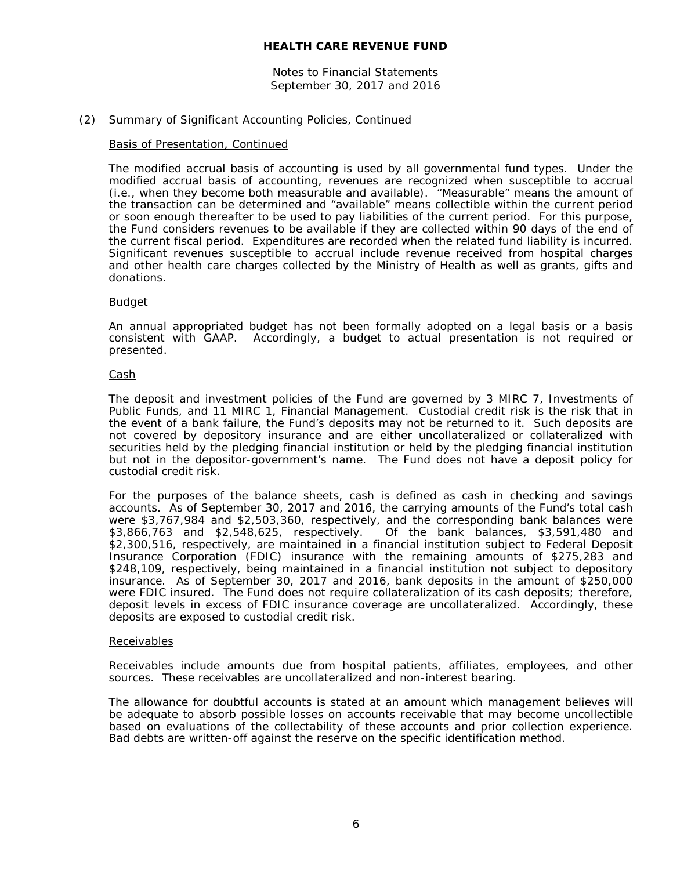Notes to Financial Statements September 30, 2017 and 2016

#### (2) Summary of Significant Accounting Policies, Continued

#### Basis of Presentation, Continued

The modified accrual basis of accounting is used by all governmental fund types. Under the modified accrual basis of accounting, revenues are recognized when susceptible to accrual (i.e., when they become both measurable and available). "Measurable" means the amount of the transaction can be determined and "available" means collectible within the current period or soon enough thereafter to be used to pay liabilities of the current period. For this purpose, the Fund considers revenues to be available if they are collected within 90 days of the end of the current fiscal period. Expenditures are recorded when the related fund liability is incurred. Significant revenues susceptible to accrual include revenue received from hospital charges and other health care charges collected by the Ministry of Health as well as grants, gifts and donations.

#### Budget

An annual appropriated budget has not been formally adopted on a legal basis or a basis consistent with GAAP. Accordingly, a budget to actual presentation is not required or presented.

#### Cash

The deposit and investment policies of the Fund are governed by 3 MIRC 7, *Investments of Public Funds*, and 11 MIRC 1, *Financial Management*. Custodial credit risk is the risk that in the event of a bank failure, the Fund's deposits may not be returned to it. Such deposits are not covered by depository insurance and are either uncollateralized or collateralized with securities held by the pledging financial institution or held by the pledging financial institution but not in the depositor-government's name. The Fund does not have a deposit policy for custodial credit risk.

For the purposes of the balance sheets, cash is defined as cash in checking and savings accounts. As of September 30, 2017 and 2016, the carrying amounts of the Fund's total cash were \$3,767,984 and \$2,503,360, respectively, and the corresponding bank balances were \$3,866,763 and \$2,548,625, respectively. Of the bank balances, \$3,591,480 and Of the bank balances, \$3,591,480 and \$2,300,516, respectively, are maintained in a financial institution subject to Federal Deposit Insurance Corporation (FDIC) insurance with the remaining amounts of \$275,283 and \$248,109, respectively, being maintained in a financial institution not subject to depository insurance. As of September 30, 2017 and 2016, bank deposits in the amount of \$250,000 were FDIC insured. The Fund does not require collateralization of its cash deposits; therefore, deposit levels in excess of FDIC insurance coverage are uncollateralized. Accordingly, these deposits are exposed to custodial credit risk.

#### Receivables

Receivables include amounts due from hospital patients, affiliates, employees, and other sources. These receivables are uncollateralized and non-interest bearing.

The allowance for doubtful accounts is stated at an amount which management believes will be adequate to absorb possible losses on accounts receivable that may become uncollectible based on evaluations of the collectability of these accounts and prior collection experience. Bad debts are written-off against the reserve on the specific identification method.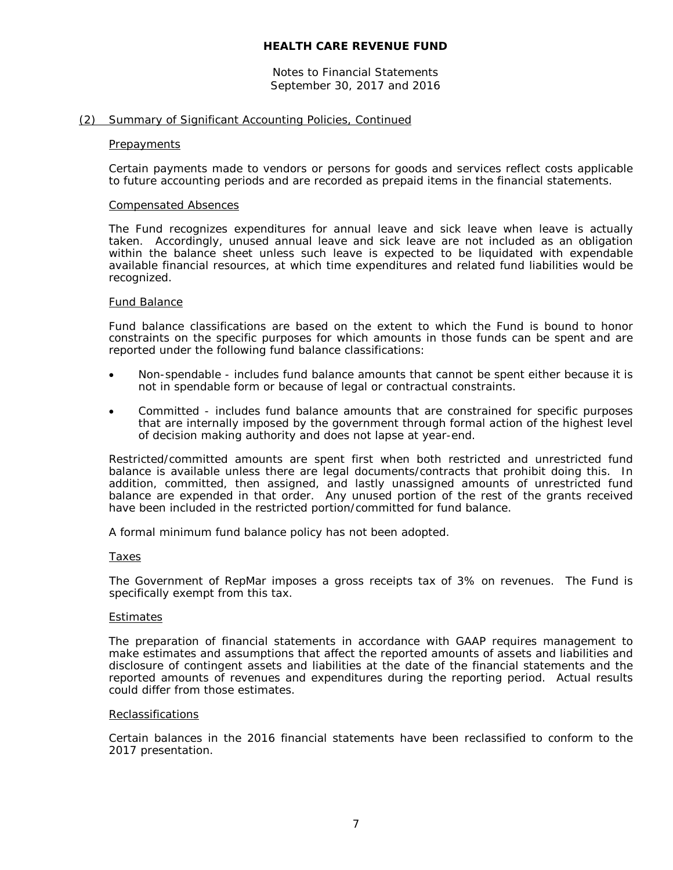Notes to Financial Statements September 30, 2017 and 2016

#### (2) Summary of Significant Accounting Policies, Continued

#### **Prepayments**

Certain payments made to vendors or persons for goods and services reflect costs applicable to future accounting periods and are recorded as prepaid items in the financial statements.

#### Compensated Absences

The Fund recognizes expenditures for annual leave and sick leave when leave is actually taken. Accordingly, unused annual leave and sick leave are not included as an obligation within the balance sheet unless such leave is expected to be liquidated with expendable available financial resources, at which time expenditures and related fund liabilities would be recognized.

#### Fund Balance

Fund balance classifications are based on the extent to which the Fund is bound to honor constraints on the specific purposes for which amounts in those funds can be spent and are reported under the following fund balance classifications:

- Non-spendable includes fund balance amounts that cannot be spent either because it is not in spendable form or because of legal or contractual constraints.
- Committed includes fund balance amounts that are constrained for specific purposes that are internally imposed by the government through formal action of the highest level of decision making authority and does not lapse at year-end.

Restricted/committed amounts are spent first when both restricted and unrestricted fund balance is available unless there are legal documents/contracts that prohibit doing this. In addition, committed, then assigned, and lastly unassigned amounts of unrestricted fund balance are expended in that order. Any unused portion of the rest of the grants received have been included in the restricted portion/committed for fund balance.

A formal minimum fund balance policy has not been adopted.

#### Taxes

The Government of RepMar imposes a gross receipts tax of 3% on revenues. The Fund is specifically exempt from this tax.

#### Estimates

The preparation of financial statements in accordance with GAAP requires management to make estimates and assumptions that affect the reported amounts of assets and liabilities and disclosure of contingent assets and liabilities at the date of the financial statements and the reported amounts of revenues and expenditures during the reporting period. Actual results could differ from those estimates.

#### **Reclassifications**

Certain balances in the 2016 financial statements have been reclassified to conform to the 2017 presentation.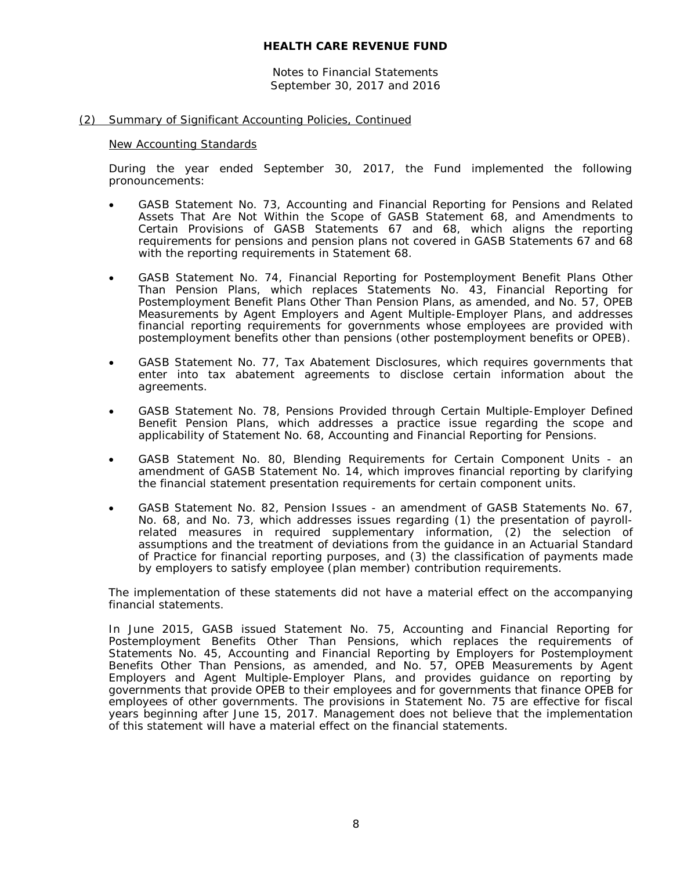Notes to Financial Statements September 30, 2017 and 2016

#### (2) Summary of Significant Accounting Policies, Continued

#### New Accounting Standards

During the year ended September 30, 2017, the Fund implemented the following pronouncements:

- GASB Statement No. 73, *Accounting and Financial Reporting for Pensions and Related Assets That Are Not Within the Scope of GASB Statement 68, and Amendments to Certain Provisions of GASB Statements 67 and 68*, which aligns the reporting requirements for pensions and pension plans not covered in GASB Statements 67 and 68 with the reporting requirements in Statement 68.
- GASB Statement No. 74, *Financial Reporting for Postemployment Benefit Plans Other Than Pension Plans*, which replaces Statements No. 43, *Financial Reporting for Postemployment Benefit Plans Other Than Pension Plans, as amended,* and No. 57, *OPEB Measurements by Agent Employers and Agent Multiple-Employer Plans*, and addresses financial reporting requirements for governments whose employees are provided with postemployment benefits other than pensions (other postemployment benefits or OPEB).
- GASB Statement No. 77, *Tax Abatement Disclosures*, which requires governments that enter into tax abatement agreements to disclose certain information about the agreements.
- GASB Statement No. 78, *Pensions Provided through Certain Multiple-Employer Defined Benefit Pension Plans*, which addresses a practice issue regarding the scope and applicability of Statement No. 68, *Accounting and Financial Reporting for Pensions*.
- GASB Statement No. 80, *Blending Requirements for Certain Component Units - an amendment of GASB Statement No. 14*, which improves financial reporting by clarifying the financial statement presentation requirements for certain component units.
- GASB Statement No. 82, *Pension Issues - an amendment of GASB Statements No. 67, No. 68, and No. 73*, which addresses issues regarding (1) the presentation of payrollrelated measures in required supplementary information, (2) the selection of assumptions and the treatment of deviations from the guidance in an Actuarial Standard of Practice for financial reporting purposes, and (3) the classification of payments made by employers to satisfy employee (plan member) contribution requirements.

The implementation of these statements did not have a material effect on the accompanying financial statements.

In June 2015, GASB issued Statement No. 75, *Accounting and Financial Reporting for Postemployment Benefits Other Than Pensions*, which replaces the requirements of Statements No. 45, Accounting *and Financial Reporting by Employers for Postemployment Benefits Other Than Pensions*, as amended, and No. 57, *OPEB Measurements by Agent Employers and Agent Multiple-Employer Plans*, and provides guidance on reporting by governments that provide OPEB to their employees and for governments that finance OPEB for employees of other governments. The provisions in Statement No. 75 are effective for fiscal years beginning after June 15, 2017. Management does not believe that the implementation of this statement will have a material effect on the financial statements.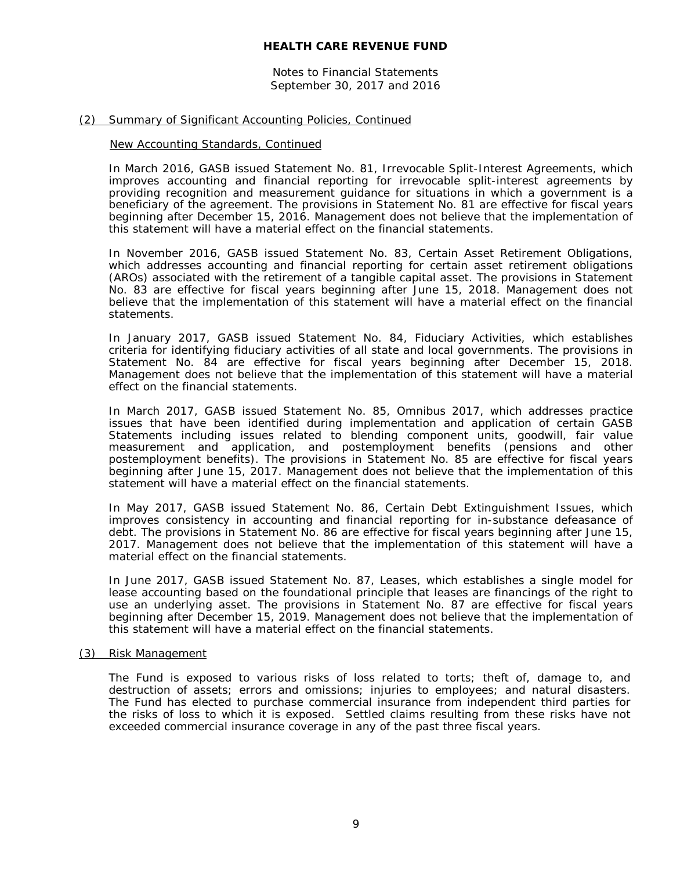Notes to Financial Statements September 30, 2017 and 2016

#### (2) Summary of Significant Accounting Policies, Continued

#### New Accounting Standards, Continued

In March 2016, GASB issued Statement No. 81, *Irrevocable Split-Interest Agreements,* which improves accounting and financial reporting for irrevocable split-interest agreements by providing recognition and measurement guidance for situations in which a government is a beneficiary of the agreement. The provisions in Statement No. 81 are effective for fiscal years beginning after December 15, 2016. Management does not believe that the implementation of this statement will have a material effect on the financial statements.

In November 2016, GASB issued Statement No. 83, *Certain Asset Retirement Obligations*, which addresses accounting and financial reporting for certain asset retirement obligations (AROs) associated with the retirement of a tangible capital asset. The provisions in Statement No. 83 are effective for fiscal years beginning after June 15, 2018. Management does not believe that the implementation of this statement will have a material effect on the financial statements.

In January 2017, GASB issued Statement No. 84, *Fiduciary Activities*, which establishes criteria for identifying fiduciary activities of all state and local governments. The provisions in Statement No. 84 are effective for fiscal years beginning after December 15, 2018. Management does not believe that the implementation of this statement will have a material effect on the financial statements.

In March 2017, GASB issued Statement No. 85, *Omnibus 2017*, which addresses practice issues that have been identified during implementation and application of certain GASB Statements including issues related to blending component units, goodwill, fair value measurement and application, and postemployment benefits (pensions and other postemployment benefits). The provisions in Statement No. 85 are effective for fiscal years beginning after June 15, 2017. Management does not believe that the implementation of this statement will have a material effect on the financial statements.

In May 2017, GASB issued Statement No. 86, *Certain Debt Extinguishment Issues*, which improves consistency in accounting and financial reporting for in-substance defeasance of debt. The provisions in Statement No. 86 are effective for fiscal years beginning after June 15, 2017. Management does not believe that the implementation of this statement will have a material effect on the financial statements.

In June 2017, GASB issued Statement No. 87, *Leases*, which establishes a single model for lease accounting based on the foundational principle that leases are financings of the right to use an underlying asset. The provisions in Statement No. 87 are effective for fiscal years beginning after December 15, 2019. Management does not believe that the implementation of this statement will have a material effect on the financial statements.

#### (3) Risk Management

The Fund is exposed to various risks of loss related to torts; theft of, damage to, and destruction of assets; errors and omissions; injuries to employees; and natural disasters. The Fund has elected to purchase commercial insurance from independent third parties for the risks of loss to which it is exposed. Settled claims resulting from these risks have not exceeded commercial insurance coverage in any of the past three fiscal years.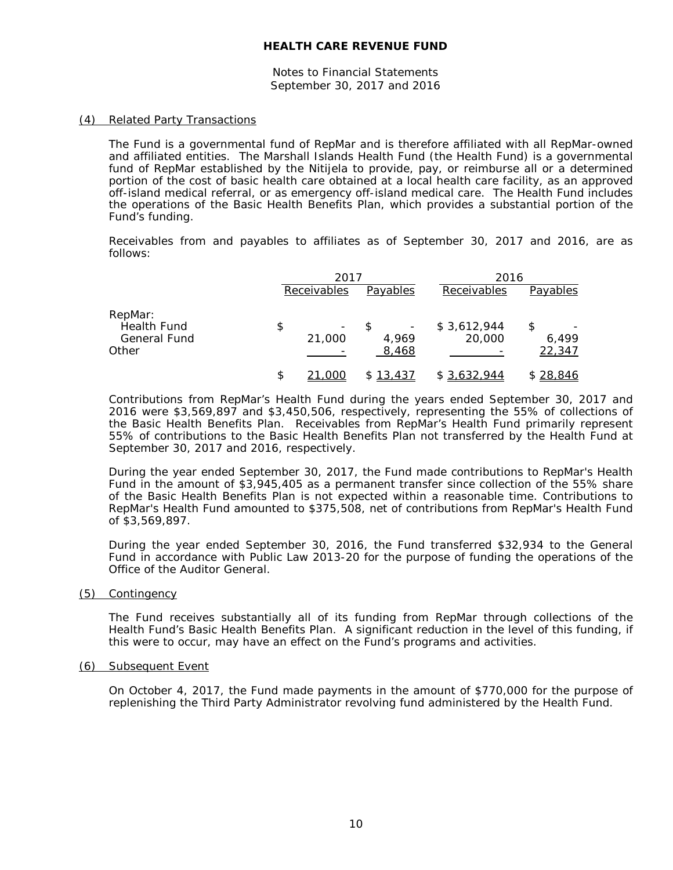Notes to Financial Statements September 30, 2017 and 2016

#### (4) Related Party Transactions

The Fund is a governmental fund of RepMar and is therefore affiliated with all RepMar-owned and affiliated entities. The Marshall Islands Health Fund (the Health Fund) is a governmental fund of RepMar established by the Nitijela to provide, pay, or reimburse all or a determined portion of the cost of basic health care obtained at a local health care facility, as an approved off-island medical referral, or as emergency off-island medical care. The Health Fund includes the operations of the Basic Health Benefits Plan, which provides a substantial portion of the Fund's funding.

Receivables from and payables to affiliates as of September 30, 2017 and 2016, are as follows:

|                        | 2017        |                | 2016        |                 |
|------------------------|-------------|----------------|-------------|-----------------|
|                        | Receivables | Payables       | Receivables | Payables        |
| RepMar:<br>Health Fund | \$<br>-     |                | \$3,612,944 | \$              |
| General Fund<br>Other  | 21,000      | 4,969<br>8,468 | 20,000      | 6.499<br>22,347 |
|                        | \$<br>.00C  | \$13,437       | \$3,632,944 | \$28,846        |

Contributions from RepMar's Health Fund during the years ended September 30, 2017 and 2016 were \$3,569,897 and \$3,450,506, respectively, representing the 55% of collections of the Basic Health Benefits Plan. Receivables from RepMar's Health Fund primarily represent 55% of contributions to the Basic Health Benefits Plan not transferred by the Health Fund at September 30, 2017 and 2016, respectively.

During the year ended September 30, 2017, the Fund made contributions to RepMar's Health Fund in the amount of \$3,945,405 as a permanent transfer since collection of the 55% share of the Basic Health Benefits Plan is not expected within a reasonable time. Contributions to RepMar's Health Fund amounted to \$375,508, net of contributions from RepMar's Health Fund of \$3,569,897.

During the year ended September 30, 2016, the Fund transferred \$32,934 to the General Fund in accordance with Public Law 2013-20 for the purpose of funding the operations of the Office of the Auditor General.

(5) Contingency

The Fund receives substantially all of its funding from RepMar through collections of the Health Fund's Basic Health Benefits Plan. A significant reduction in the level of this funding, if this were to occur, may have an effect on the Fund's programs and activities.

#### (6) Subsequent Event

On October 4, 2017, the Fund made payments in the amount of \$770,000 for the purpose of replenishing the Third Party Administrator revolving fund administered by the Health Fund.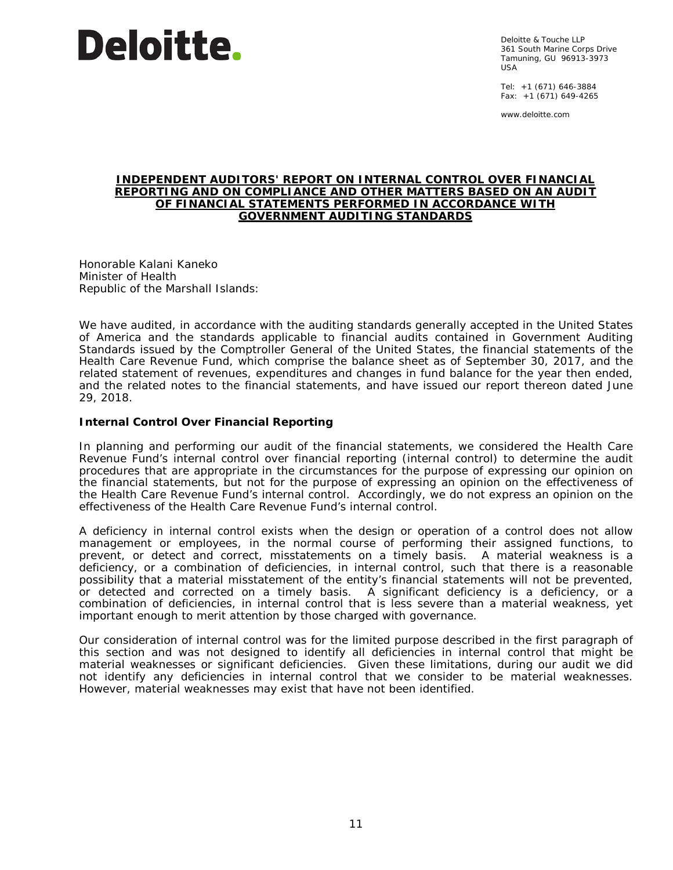# **Deloitte**.

Deloitte & Touche LLP 361 South Marine Corps Drive Tamuning, GU 96913-3973 USA

Tel: +1 (671) 646-3884 Fax:  $+1$  (671) 649-4265

www.deloitte.com

#### **INDEPENDENT AUDITORS' REPORT ON INTERNAL CONTROL OVER FINANCIAL REPORTING AND ON COMPLIANCE AND OTHER MATTERS BASED ON AN AUDIT OF FINANCIAL STATEMENTS PERFORMED IN ACCORDANCE WITH** *GOVERNMENT AUDITING STANDARDS*

Honorable Kalani Kaneko Minister of Health Republic of the Marshall Islands:

We have audited, in accordance with the auditing standards generally accepted in the United States of America and the standards applicable to financial audits contained in *Government Auditing Standards* issued by the Comptroller General of the United States, the financial statements of the Health Care Revenue Fund, which comprise the balance sheet as of September 30, 2017, and the related statement of revenues, expenditures and changes in fund balance for the year then ended, and the related notes to the financial statements, and have issued our report thereon dated June 29, 2018.

#### **Internal Control Over Financial Reporting**

In planning and performing our audit of the financial statements, we considered the Health Care Revenue Fund's internal control over financial reporting (internal control) to determine the audit procedures that are appropriate in the circumstances for the purpose of expressing our opinion on the financial statements, but not for the purpose of expressing an opinion on the effectiveness of the Health Care Revenue Fund's internal control. Accordingly, we do not express an opinion on the effectiveness of the Health Care Revenue Fund's internal control.

A *deficiency in internal control* exists when the design or operation of a control does not allow management or employees, in the normal course of performing their assigned functions, to prevent, or detect and correct, misstatements on a timely basis. A *material weakness* is a deficiency, or a combination of deficiencies, in internal control, such that there is a reasonable possibility that a material misstatement of the entity's financial statements will not be prevented, or detected and corrected on a timely basis. A *significant deficiency* is a deficiency, or a combination of deficiencies, in internal control that is less severe than a material weakness, yet important enough to merit attention by those charged with governance.

Our consideration of internal control was for the limited purpose described in the first paragraph of this section and was not designed to identify all deficiencies in internal control that might be material weaknesses or significant deficiencies. Given these limitations, during our audit we did not identify any deficiencies in internal control that we consider to be material weaknesses. However, material weaknesses may exist that have not been identified.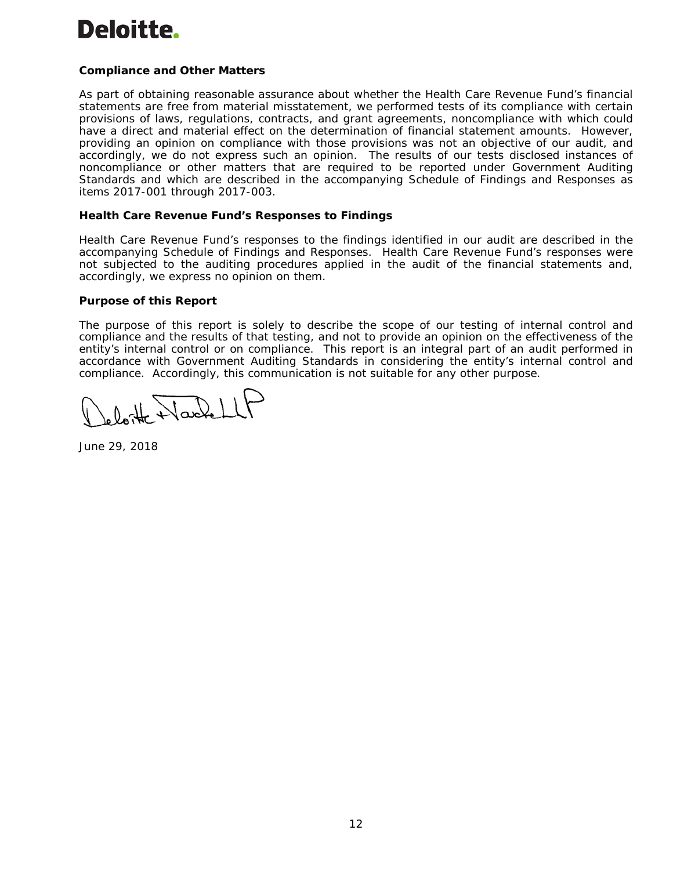# Deloitte.

# **Compliance and Other Matters**

As part of obtaining reasonable assurance about whether the Health Care Revenue Fund's financial statements are free from material misstatement, we performed tests of its compliance with certain provisions of laws, regulations, contracts, and grant agreements, noncompliance with which could have a direct and material effect on the determination of financial statement amounts. However, providing an opinion on compliance with those provisions was not an objective of our audit, and accordingly, we do not express such an opinion. The results of our tests disclosed instances of noncompliance or other matters that are required to be reported under *Government Auditing Standards* and which are described in the accompanying Schedule of Findings and Responses as items 2017-001 through 2017-003.

#### **Health Care Revenue Fund's Responses to Findings**

Health Care Revenue Fund's responses to the findings identified in our audit are described in the accompanying Schedule of Findings and Responses. Health Care Revenue Fund's responses were not subjected to the auditing procedures applied in the audit of the financial statements and, accordingly, we express no opinion on them.

#### **Purpose of this Report**

The purpose of this report is solely to describe the scope of our testing of internal control and compliance and the results of that testing, and not to provide an opinion on the effectiveness of the entity's internal control or on compliance. This report is an integral part of an audit performed in accordance with *Government Auditing Standards* in considering the entity's internal control and compliance. Accordingly, this communication is not suitable for any other purpose.

loite Wacket

June 29, 2018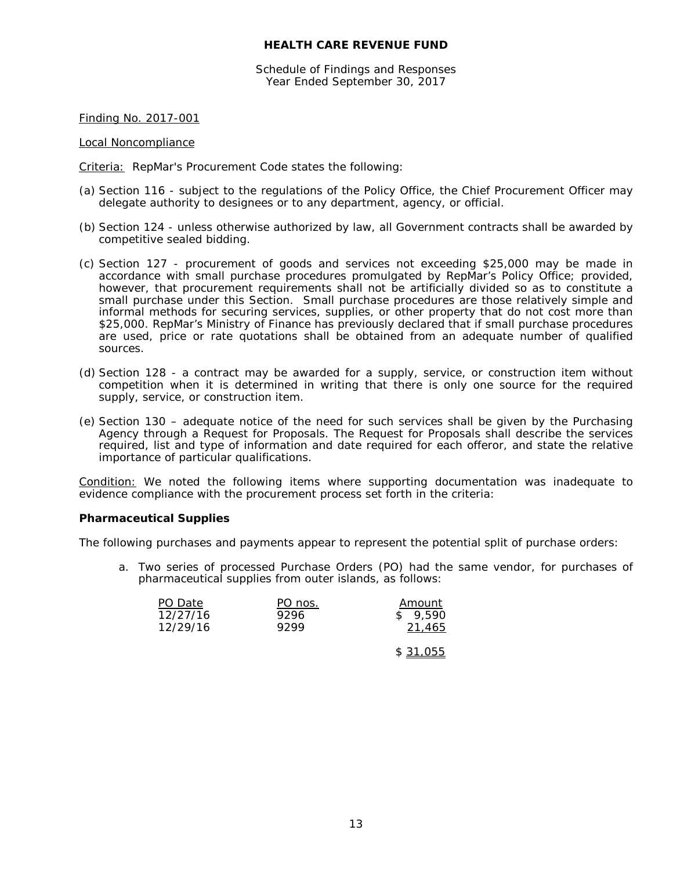Schedule of Findings and Responses Year Ended September 30, 2017

Finding No. 2017-001

Local Noncompliance

Criteria: RepMar's Procurement Code states the following:

- (a) Section 116 subject to the regulations of the Policy Office, the Chief Procurement Officer may delegate authority to designees or to any department, agency, or official.
- (b) Section 124 unless otherwise authorized by law, all Government contracts shall be awarded by competitive sealed bidding.
- (c) Section 127 procurement of goods and services not exceeding \$25,000 may be made in accordance with small purchase procedures promulgated by RepMar's Policy Office; provided, however, that procurement requirements shall not be artificially divided so as to constitute a small purchase under this Section. Small purchase procedures are those relatively simple and informal methods for securing services, supplies, or other property that do not cost more than \$25,000. RepMar's Ministry of Finance has previously declared that if small purchase procedures are used, price or rate quotations shall be obtained from an adequate number of qualified sources.
- (d) Section 128 a contract may be awarded for a supply, service, or construction item without competition when it is determined in writing that there is only one source for the required supply, service, or construction item.
- (e) Section 130 adequate notice of the need for such services shall be given by the Purchasing Agency through a Request for Proposals. The Request for Proposals shall describe the services required, list and type of information and date required for each offeror, and state the relative importance of particular qualifications.

Condition: We noted the following items where supporting documentation was inadequate to evidence compliance with the procurement process set forth in the criteria:

#### **Pharmaceutical Supplies**

The following purchases and payments appear to represent the potential split of purchase orders:

a. Two series of processed Purchase Orders (PO) had the same vendor, for purchases of pharmaceutical supplies from outer islands, as follows:

|      | Amount  |
|------|---------|
| 9296 | \$9.590 |
| 9299 | 21,465  |
|      | PO nos. |

\$ 31,055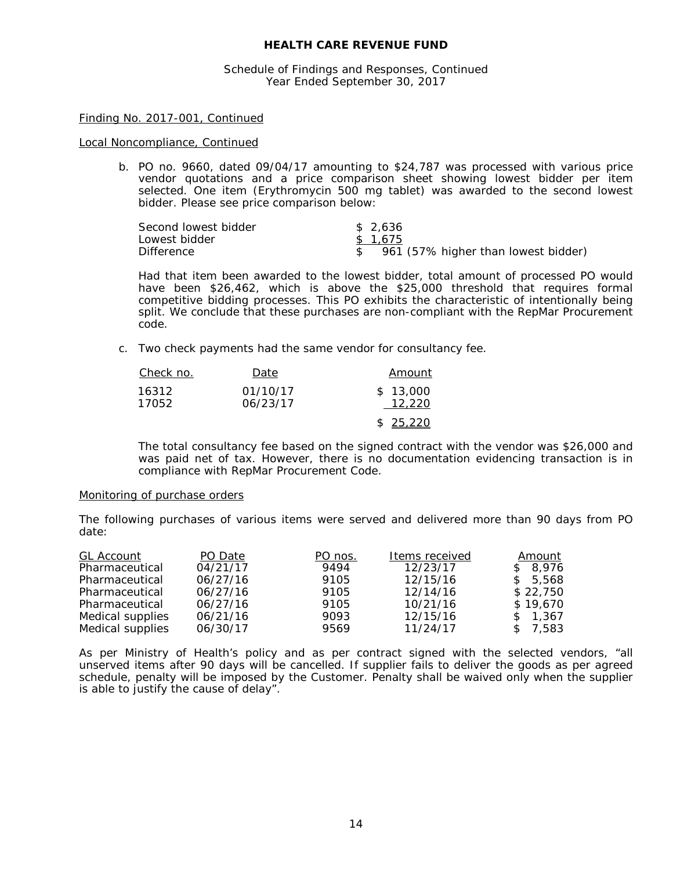Schedule of Findings and Responses, Continued Year Ended September 30, 2017

#### Finding No. 2017-001, Continued

#### Local Noncompliance, Continued

b. PO no. 9660, dated 09/04/17 amounting to \$24,787 was processed with various price vendor quotations and a price comparison sheet showing lowest bidder per item selected. One item (Erythromycin 500 mg tablet) was awarded to the second lowest bidder. Please see price comparison below:

| Second lowest bidder | \$2.636                             |
|----------------------|-------------------------------------|
| Lowest bidder        | \$1.675                             |
| <b>Difference</b>    | 961 (57% higher than lowest bidder) |

Had that item been awarded to the lowest bidder, total amount of processed PO would have been \$26,462, which is above the \$25,000 threshold that requires formal competitive bidding processes. This PO exhibits the characteristic of intentionally being split. We conclude that these purchases are non-compliant with the RepMar Procurement code.

c. Two check payments had the same vendor for consultancy fee.

| Check no.      | Date                 | Amount             |
|----------------|----------------------|--------------------|
| 16312<br>17052 | 01/10/17<br>06/23/17 | \$13,000<br>12.220 |
|                |                      | \$25.220           |

The total consultancy fee based on the signed contract with the vendor was \$26,000 and was paid net of tax. However, there is no documentation evidencing transaction is in compliance with RepMar Procurement Code.

#### *Monitoring of purchase orders*

The following purchases of various items were served and delivered more than 90 days from PO date:

| <b>GL Account</b> | PO Date  | PO nos. | Items received | Amount   |
|-------------------|----------|---------|----------------|----------|
| Pharmaceutical    | 04/21/17 | 9494    | 12/23/17       | \$8,976  |
| Pharmaceutical    | 06/27/16 | 9105    | 12/15/16       | \$5,568  |
| Pharmaceutical    | 06/27/16 | 9105    | 12/14/16       | \$22,750 |
| Pharmaceutical    | 06/27/16 | 9105    | 10/21/16       | \$19.670 |
| Medical supplies  | 06/21/16 | 9093    | 12/15/16       | \$1,367  |
| Medical supplies  | 06/30/17 | 9569    | 11/24/17       | \$7,583  |

As per Ministry of Health's policy and as per contract signed with the selected vendors, "*all unserved items after 90 days will be cancelled. If supplier fails to deliver the goods as per agreed schedule, penalty will be imposed by the Customer. Penalty shall be waived only when the supplier is able to justify the cause of delay".*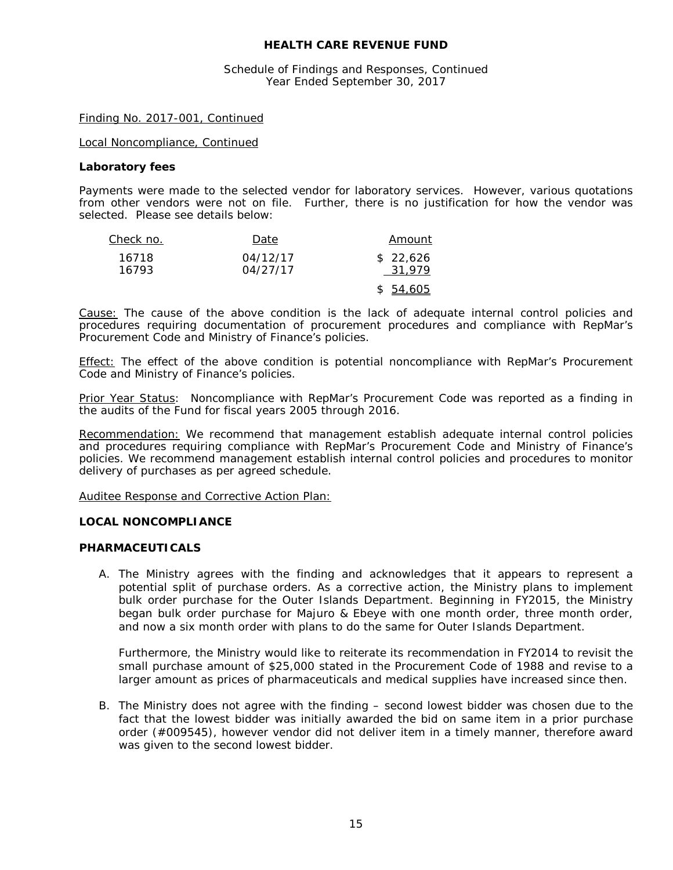Schedule of Findings and Responses, Continued Year Ended September 30, 2017

#### Finding No. 2017-001, Continued

Local Noncompliance, Continued

#### **Laboratory fees**

Payments were made to the selected vendor for laboratory services. However, various quotations from other vendors were not on file. Further, there is no justification for how the vendor was selected. Please see details below:

| Check no. | Date     | Amount    |
|-----------|----------|-----------|
| 16718     | 04/12/17 | \$22,626  |
| 16793     | 04/27/17 | 31.979    |
|           |          | \$ 54,605 |

Cause: The cause of the above condition is the lack of adequate internal control policies and procedures requiring documentation of procurement procedures and compliance with RepMar's Procurement Code and Ministry of Finance's policies.

**Effect:** The effect of the above condition is potential noncompliance with RepMar's Procurement Code and Ministry of Finance's policies.

Prior Year Status: Noncompliance with RepMar's Procurement Code was reported as a finding in the audits of the Fund for fiscal years 2005 through 2016.

Recommendation: We recommend that management establish adequate internal control policies and procedures requiring compliance with RepMar's Procurement Code and Ministry of Finance's policies. We recommend management establish internal control policies and procedures to monitor delivery of purchases as per agreed schedule.

#### Auditee Response and Corrective Action Plan:

#### **LOCAL NONCOMPLIANCE**

#### *PHARMACEUTICALS*

A. The Ministry agrees with the finding and acknowledges that it appears to represent a potential split of purchase orders. As a corrective action, the Ministry plans to implement bulk order purchase for the Outer Islands Department. Beginning in FY2015, the Ministry began bulk order purchase for Majuro & Ebeye with one month order, three month order, and now a six month order with plans to do the same for Outer Islands Department.

Furthermore, the Ministry would like to reiterate its recommendation in FY2014 to revisit the small purchase amount of \$25,000 stated in the Procurement Code of 1988 and revise to a larger amount as prices of pharmaceuticals and medical supplies have increased since then.

B. The Ministry does not agree with the finding – second lowest bidder was chosen due to the fact that the lowest bidder was initially awarded the bid on same item in a prior purchase order (#009545), however vendor did not deliver item in a timely manner, therefore award was given to the second lowest bidder.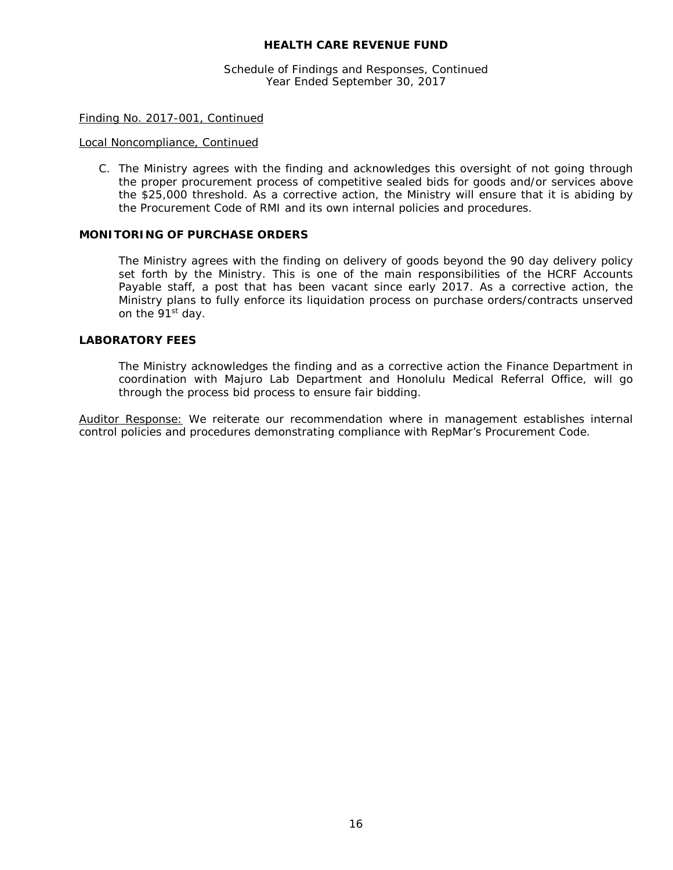Schedule of Findings and Responses, Continued Year Ended September 30, 2017

#### Finding No. 2017-001, Continued

#### Local Noncompliance, Continued

C. The Ministry agrees with the finding and acknowledges this oversight of not going through the proper procurement process of competitive sealed bids for goods and/or services above the \$25,000 threshold. As a corrective action, the Ministry will ensure that it is abiding by the Procurement Code of RMI and its own internal policies and procedures.

#### *MONITORING OF PURCHASE ORDERS*

The Ministry agrees with the finding on delivery of goods beyond the 90 day delivery policy set forth by the Ministry. This is one of the main responsibilities of the HCRF Accounts Payable staff, a post that has been vacant since early 2017. As a corrective action, the Ministry plans to fully enforce its liquidation process on purchase orders/contracts unserved on the 91<sup>st</sup> day.

#### *LABORATORY FEES*

The Ministry acknowledges the finding and as a corrective action the Finance Department in coordination with Majuro Lab Department and Honolulu Medical Referral Office, will go through the process bid process to ensure fair bidding.

Auditor Response: We reiterate our recommendation where in management establishes internal control policies and procedures demonstrating compliance with RepMar's Procurement Code.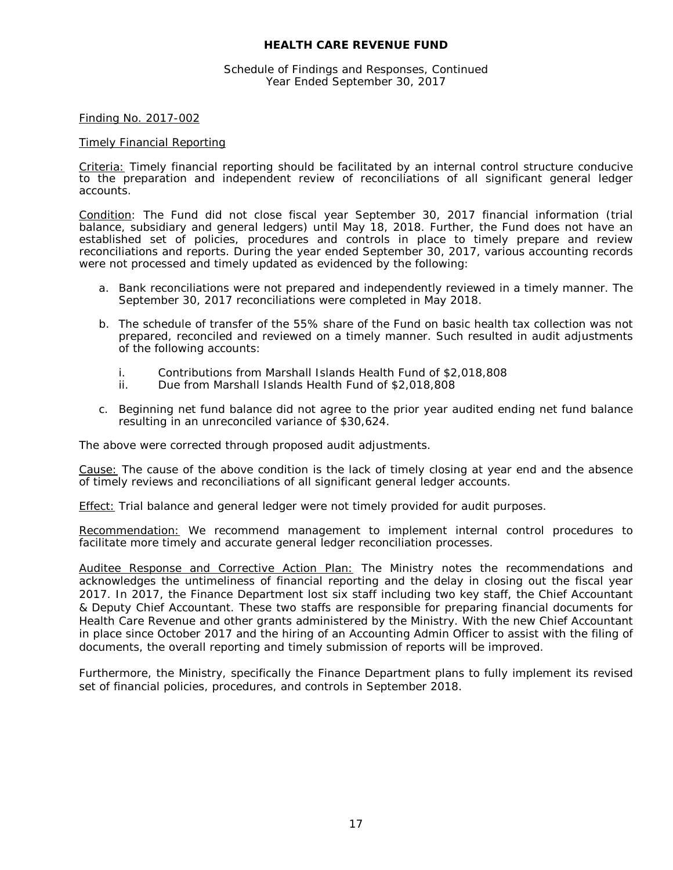#### Schedule of Findings and Responses, Continued Year Ended September 30, 2017

#### Finding No. 2017-002

#### Timely Financial Reporting

Criteria: Timely financial reporting should be facilitated by an internal control structure conducive to the preparation and independent review of reconciliations of all significant general ledger accounts.

Condition: The Fund did not close fiscal year September 30, 2017 financial information (trial balance, subsidiary and general ledgers) until May 18, 2018. Further, the Fund does not have an established set of policies, procedures and controls in place to timely prepare and review reconciliations and reports. During the year ended September 30, 2017, various accounting records were not processed and timely updated as evidenced by the following:

- a. Bank reconciliations were not prepared and independently reviewed in a timely manner. The September 30, 2017 reconciliations were completed in May 2018.
- b. The schedule of transfer of the 55% share of the Fund on basic health tax collection was not prepared, reconciled and reviewed on a timely manner. Such resulted in audit adjustments of the following accounts:
	- i. Contributions from Marshall Islands Health Fund of \$2,018,808
	- ii. Due from Marshall Islands Health Fund of \$2,018,808
- c. Beginning net fund balance did not agree to the prior year audited ending net fund balance resulting in an unreconciled variance of \$30,624.

The above were corrected through proposed audit adjustments.

Cause: The cause of the above condition is the lack of timely closing at year end and the absence of timely reviews and reconciliations of all significant general ledger accounts.

Effect: Trial balance and general ledger were not timely provided for audit purposes.

Recommendation: We recommend management to implement internal control procedures to facilitate more timely and accurate general ledger reconciliation processes.

Auditee Response and Corrective Action Plan: The Ministry notes the recommendations and acknowledges the untimeliness of financial reporting and the delay in closing out the fiscal year 2017. In 2017, the Finance Department lost six staff including two key staff, the Chief Accountant & Deputy Chief Accountant. These two staffs are responsible for preparing financial documents for Health Care Revenue and other grants administered by the Ministry. With the new Chief Accountant in place since October 2017 and the hiring of an Accounting Admin Officer to assist with the filing of documents, the overall reporting and timely submission of reports will be improved.

Furthermore, the Ministry, specifically the Finance Department plans to fully implement its revised set of financial policies, procedures, and controls in September 2018.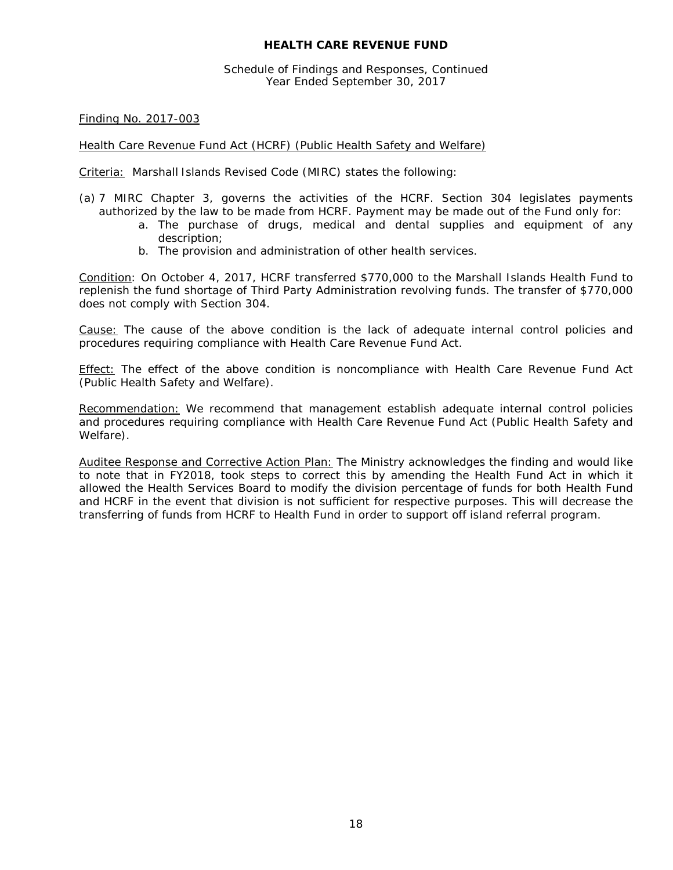Schedule of Findings and Responses, Continued Year Ended September 30, 2017

Finding No. 2017-003

#### Health Care Revenue Fund Act (HCRF) (Public Health Safety and Welfare)

Criteria: Marshall Islands Revised Code (MIRC) states the following:

- (a) 7 MIRC Chapter 3, governs the activities of the HCRF. Section 304 legislates payments authorized by the law to be made from HCRF. Payment may be made out of the Fund only for:
	- a. The purchase of drugs, medical and dental supplies and equipment of any description;
	- b. The provision and administration of other health services.

Condition: On October 4, 2017, HCRF transferred \$770,000 to the Marshall Islands Health Fund to replenish the fund shortage of Third Party Administration revolving funds. The transfer of \$770,000 does not comply with Section 304.

Cause: The cause of the above condition is the lack of adequate internal control policies and procedures requiring compliance with Health Care Revenue Fund Act.

Effect: The effect of the above condition is noncompliance with Health Care Revenue Fund Act (Public Health Safety and Welfare).

Recommendation: We recommend that management establish adequate internal control policies and procedures requiring compliance with Health Care Revenue Fund Act (Public Health Safety and Welfare).

Auditee Response and Corrective Action Plan: The Ministry acknowledges the finding and would like to note that in FY2018, took steps to correct this by amending the Health Fund Act in which it allowed the Health Services Board to modify the division percentage of funds for both Health Fund and HCRF in the event that division is not sufficient for respective purposes. This will decrease the transferring of funds from HCRF to Health Fund in order to support off island referral program.